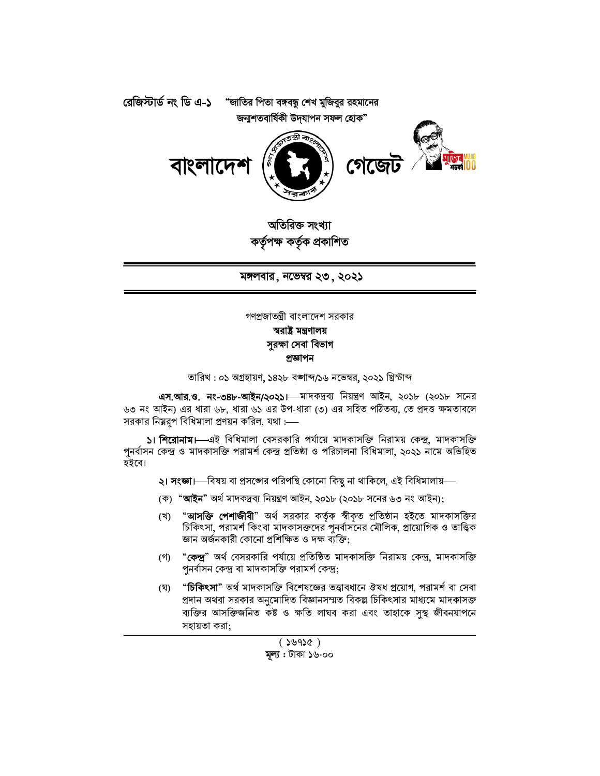

অতিরিক্ত সংখ্যা কৰ্তৃপক্ষ কৰ্তৃক প্ৰকাশিত

মঙ্গলবার, নভেম্বর ২৩, ২০২১

গণপ্রজাতন্ত্রী বাংলাদেশ সরকার

## স্বরাষ্ট্র মন্ত্রণালয় সুরক্ষা সেবা বিভাগ প্ৰজ্ঞাপন

তারিখ: ০১ অগ্রহায়ণ, ১৪২৮ বজ্ঞাব্দ/১৬ নভেম্বর, ২০২১ খ্রিস্টাব্দ

এস.আর.ও. নং-৩৪৮-আইন/২০২১। মাদকদ্রব্য নিয়ন্ত্রণ আইন, ২০১৮ (২০১৮ সনের ৬৩ নং আইন) এর ধারা ৬৮, ধারা ৬১ এর উপ-ধারা (৩) এর সহিত পঠিতব্য, তে প্রদত্ত ক্ষমতাবলে সরকার নিয়রপ বিধিমালা প্রণয়ন করিল, যথা :---

১। শিরোনাম। এই বিধিমালা বেসরকারি পর্যায়ে মাদকাসক্তি নিরাময় কেন্দ্র, মাদকাসক্তি পুনর্বাসন কেন্দ্র ও মাদকাসক্তি পরামর্শ কেন্দ্র প্রতিষ্ঠা ও পরিচালনা বিধিমালা, ২০২১ নামে অভিহিত হইবে।

**২। সংজ্ঞা।**—বিষয় বা প্রসঙ্গের পরিপন্থি কোনো কিছু না থাকিলে, এই বিধিমালায়—

- (ক) "**আইন**" অর্থ মাদকদ্রব্য নিয়ন্ত্রণ আইন, ২০১৮ (২০১৮ সনের ৬৩ নং আইন);
- "**আসক্তি পেশাজীবী**" অৰ্থ সরকার কর্তৃক স্বীকৃত প্রতিষ্ঠান হইতে মাদকাসক্তির (খ) চিকিৎসা, পরামর্শ কিংবা মাদকাসক্তদের পুনর্বাসনের মৌলিক, প্রায়োগিক ও তাত্ত্বিক জ্ঞান অৰ্জনকারী কোনো প্রশিক্ষিত ও দক্ষ ব্যক্তি;
- (গ) "**কেন্দ্র**" অর্থ বেসরকারি পর্যায়ে প্রতিষ্ঠিত মাদকাসক্তি নিরাময় কেন্দ্র, মাদকাসক্তি পুনৰ্বাসন কেন্দ্ৰ বা মাদকাসক্তি পরামর্শ কেন্দ্র;
- "চিকিৎসা" অর্থ মাদকাসক্তি বিশেষজ্ঞের তত্ত্বাবধানে ঔষধ প্রয়োগ, পরামর্শ বা সেবা (ঘ) প্রদান অথবা সরকার অনুমোদিত বিজ্ঞানসম্মত বিকল্প চিকিৎসার মাধ্যমে মাদকাসক্ত ব্যক্তির আসক্তিজনিত কষ্ট ও ক্ষতি লাঘব করা এবং তাহাকে সস্থ জীবনযাপনে সহায়তা করা: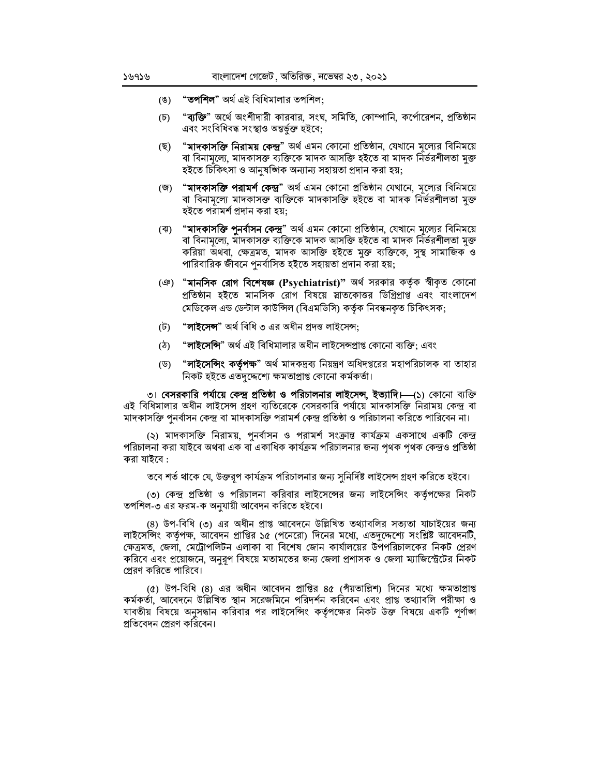- "**তপশিল**" অৰ্থ এই বিধিমালার তপশিল:  $(8)$
- $(\mathfrak{D})$ "**ব্যক্তি**" অর্থে অংশীদারী কারবার, সংঘ, সমিতি, কোম্পানি, কর্পোরেশন, প্রতিষ্ঠান এবং সংবিধিবদ্ধ সংস্থাও অন্তৰ্ভুক্ত হইবে;
- "**মাদকাসক্তি নিরাময় কেন্দ্র**" অর্থ এমন কোনো প্রতিষ্ঠান, যেখানে মল্যের বিনিময়ে (ছ) বা বিনামূল্যে, মাদকাসক্ত ব্যক্তিকে মাদক আসক্তি হইতে বা মাদক নিৰ্ভরশীলতা মুক্ত হইতে চিকিৎসা ও আনুষজ্ঞাক অন্যান্য সহায়তা প্ৰদান করা হয়;
- (জ) "**মাদকাসক্তি পরামর্শ কেন্দ্র**" অর্থ এমন কোনো প্রতিষ্ঠান যেখানে, মূল্যের বিনিময়ে বা বিনামূল্যে মাদকাসক্ত ব্যক্তিকে মাদকাসক্তি হইতে বা মাদক নিৰ্ভরশীলতা মুক্ত হইতে পরামর্শ প্রদান করা হয়:
- (ঝ) "**মাদকাসক্তি পুনর্বাসন কেন্দ্র**" অর্থ এমন কোনো প্রতিষ্ঠান, যেখানে মূল্যের বিনিময়ে বা বিনামূল্যে, মাদকাসক্ত ব্যক্তিকে মাদক আসক্তি হইতে বা মাদক নিৰ্ভৱশীলতা মুক্ত করিয়া অথবা, ক্ষেত্রমত, মাদক আসক্তি হইতে মুক্ত ব্যক্তিকে, সুস্থ সামাজিক ও পারিবারিক জীবনে পুনর্বাসিত হইতে সহায়তা প্রদান করা হয়;
- (ঞ) "**মানসিক রোগ বিশেষজ্ঞ (Psychiatrist)**" অর্থ সরকার কর্তৃক স্বীকৃত কোনো প্রতিষ্ঠান হইতে মানসিক রোগ বিষয়ে স্নাতকোত্তর ডিগ্রিপ্রাপ্ত এবং বাংলাদেশ মেডিকেল এন্ড ডেন্টাল কাউন্সিল (বিএমডিসি) কর্তৃক নিবন্ধনকৃত চিকিৎসক;
- "**লাইসেন্স**" অৰ্থ বিধি ৩ এর অধীন প্রদত্ত লাইসেন্স; (ট)
- "**লাইসেন্সি**" অৰ্থ এই বিধিমালার অধীন লাইসেন্সপ্রাপ্ত কোনো ব্যক্তি; এবং  $(\mathcal{L})$
- "**লাইসেন্সিং কর্তৃপক্ষ**" অর্থ মাদকদ্রব্য নিয়ন্ত্রণ অধিদপ্তরের মহাপরিচালক বা তাহার (ড) নিকট হইতে এতদুদ্দেশ্যে ক্ষমতাপ্ৰাপ্ত কোনো কৰ্মকৰ্তা।

৩। বেসরকারি পর্যায়ে কেন্দ্র প্রতিষ্ঠা ও পরিচালনার লাইসেন্স, ইত্যাদি।—(১) কোনো ব্যক্তি এই বিধিমালার অধীন লাইসেন্স গ্রহণ ব্যতিরেকে বেসরকারি পর্যায়ে মাদকাসক্তি নিরাময় কেন্দ্র বা মাদকাসক্তি পুনর্বাসন কেন্দ্র বা মাদকাসক্তি পরামর্শ কেন্দ্র প্রতিষ্ঠা ও পরিচালনা করিতে পারিবেন না।

(২) মাদকাসক্তি নিরাময়, পুনর্বাসন ও পরামর্শ সংক্রান্ত কার্যক্রম একসাথে একটি কেন্দ্র পরিচালনা করা যাইবে অথবা এক বা একাধিক কার্যক্রম পরিচালনার জন্য পৃথক পৃথক কেন্দ্রও প্রতিষ্ঠা করা যাইবে :

তবে শর্ত থাকে যে, উক্তরপ কার্যক্রম পরিচালনার জন্য সুনির্দিষ্ট লাইসেন্স গ্রহণ করিতে হইবে।

(৩) কেন্দ্র প্রতিষ্ঠা ও পরিচালনা করিবার লাইসেন্সের জন্য লাইসেন্সিং কর্তৃপক্ষের নিকট তপশিল-৩ এর ফরম-ক অনুযায়ী আবেদন করিতে হইবে।

(৪) উপ-বিধি (৩) এর অধীন প্রাপ্ত আবেদনে উল্লিখিত তথ্যাবলির সত্যতা যাচাইয়ের জন্য লাইসেন্সিং কর্তৃপক্ষ, আবেদন প্রাপ্তির ১৫ (পনেরো) দিনের মধ্যে, এতদুদ্দেশ্যে সংশ্লিষ্ট আবেদনটি, ক্ষেত্রমত, জেলা, মেট্রোপলিটন এলাকা বা বিশেষ জোন কার্যালয়ের উপপরিচালকের নিকট প্রেরণ করিবে এবং প্রয়োজনে, অনুরূপ বিষয়ে মতামতের জন্য জেলা প্রশাসক ও জেলা ম্যাজিস্ট্রেটের নিকট প্রেরণ করিতে পারিবে।

(৫) উপ-বিধি (৪) এর অধীন আবেদন প্রাপ্তির ৪৫ (পাঁয়তাল্লিশ) দিনের মধ্যে ক্ষমতাপ্রাপ্ত কর্মকর্তা, আবেদনে উল্লিখিত স্থান সরেজমিনে পরিদর্শন করিবেন এবং প্রাপ্ত তথ্যাবলি পরীক্ষা ও যাবতীয় বিষয়ে অনুসন্ধান করিবার পর লাইসেন্সিং কর্তৃপক্ষের নিকট উক্ত বিষয়ে একটি পূর্ণাঙ্গ প্রতিবেদন প্রেরণ করিবেন।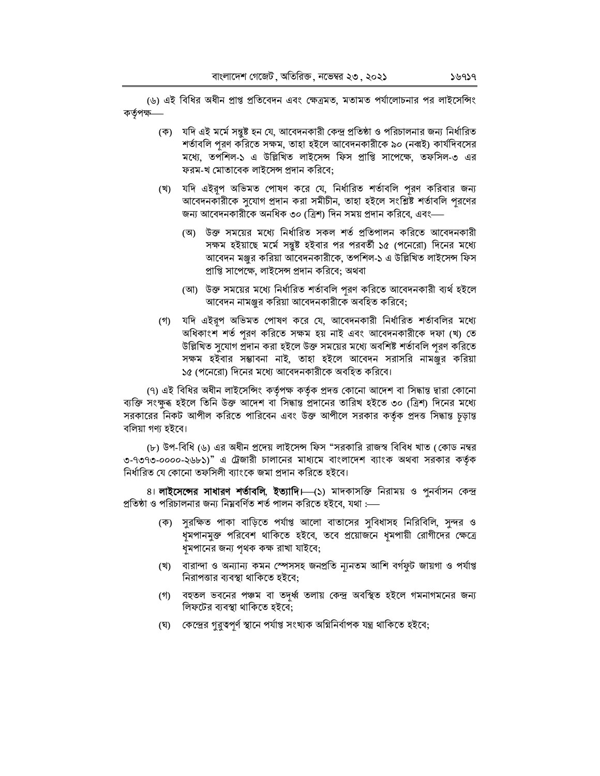(৬) এই বিধির অধীন প্রাপ্ত প্রতিবেদন এবং ক্ষেত্রমত, মতামত পর্যালোচনার পর লাইসেন্সিং কৰ্তৃপক্ষ-

- যদি এই মর্মে সন্তুষ্ট হন যে, আবেদনকারী কেন্দ্র প্রতিষ্ঠা ও পরিচালনার জন্য নির্ধারিত (ক) শর্তাবলি পূরণ করিতে সক্ষম, তাহা হইলে আবেদনকারীকে ৯০ (নব্বই) কার্যদিবসের মধ্যে, তপশিল-১ এ উল্লিখিত লাইসেন্স ফিস প্রাপ্তি সাপেক্ষে, তফসিল-৩ এর ফরম-খ মোতাবেক লাইসেন্স প্রদান করিবে;
- (খ) যদি এইরূপ অভিমত পোষণ করে যে, নির্ধারিত শর্তাবলি পূরণ করিবার জন্য আবেদনকারীকে সুযোগ প্রদান করা সমীচীন, তাহা হইলে সংশ্লিষ্ট শর্তাবলি পূরণের জন্য আবেদনকারীকে অনধিক ৩০ (ত্রিশ) দিন সময় প্রদান করিবে, এবং—
	- (অ) উক্ত সময়ের মধ্যে নির্ধারিত সকল শর্ত প্রতিপালন করিতে আবেদনকারী সক্ষম হইয়াছে মর্মে সন্তুষ্ট হইবার পর পরবর্তী ১৫ (পনেরো) দিনের মধ্যে আবেদন মঞ্জুর করিয়া আবেদনকারীকে, তপশিল-১ এ উল্লিখিত লাইসেন্স ফিস প্রাপ্তি সাপেক্ষে, লাইসেন্স প্রদান করিবে; অথবা
	- (আ) উক্ত সময়ের মধ্যে নির্ধারিত শর্তাবলি পুরণ করিতে আবেদনকারী ব্যর্থ হইলে আবেদন নামঞ্জুর করিয়া আবেদনকারীকে অবহিত করিবে;
- (গ) যদি এইরূপ অভিমত পোষণ করে যে, আবেদনকারী নির্ধারিত শর্তাবলির মধ্যে অধিকাংশ শর্ত পূরণ করিতে সক্ষম হয় নাই এবং আবেদনকারীকে দফা (খ) তে উল্লিখিত সুযোগ প্রদান করা হইলে উক্ত সময়ের মধ্যে অবশিষ্ট শর্তাবলি পূরণ করিতে সক্ষম হইবার সম্ভাবনা নাই, তাহা হইলে আবেদন সরাসরি নামঞ্জুর করিয়া ১৫ (পনেরো) দিনের মধ্যে আবেদনকারীকে অবহিত করিবে।

(৭) এই বিধির অধীন লাইসেন্সিং কর্তৃপক্ষ কর্তৃক প্রদত্ত কোনো আদেশ বা সিদ্ধান্ত দ্বারা কোনো ব্যক্তি সংক্ষুৰ হইলে তিনি উক্ত আদেশ বা সিদ্ধান্ত প্ৰদানের তারিখ হইতে ৩০ (ত্রিশ) দিনের মধ্যে সরকারের নিকট আপীল করিতে পারিবেন এবং উক্ত আপীলে সরকার কর্তৃক প্রদত্ত সিদ্ধান্ত চূড়ান্ত বলিয়া গণ্য হইবে।

(৮) উপ-বিধি (৬) এর অধীন প্রদেয় লাইসেন্স ফিস "সরকারি রাজস্ব বিবিধ খাত (কোড নম্বর ৩-৭৩৭৩-০০০০-২৬৮১)" এ ট্রেজারী চালানের মাধ্যমে বাংলাদেশ ব্যাংক অথবা সরকার কর্তৃক নির্ধারিত যে কোনো তফসিলী ব্যাংকে জমা প্রদান করিতে হইবে।

৪। **লাইসেন্সের সাধারণ শর্তাবলি, ইত্যাদি।—**(১) মাদকাসক্তি নিরাময় ও পুনর্বাসন কেন্দ্র প্রতিষ্ঠা ও পরিচালনার জন্য নিম্নবর্ণিত শর্ত পালন করিতে হইবে, যথা :—

- (ক) সুরক্ষিত পাকা বাড়িতে পর্যাপ্ত আলো বাতাসের সুবিধাসহ নিরিবিলি, সুন্দর ও ধমপানমুক্ত পরিবেশ থাকিতে হইবে, তবে প্রয়োজনে ধূমপায়ী রোগীদের ক্ষেত্রে ধূমপানের জন্য পৃথক কক্ষ রাখা যাইবে;
- (খ) বারান্দা ও অন্যান্য কমন স্পেসসহ জনপ্রতি ন্যূনতম আশি বর্গফুট জায়গা ও পর্যাপ্ত নিরাপত্তার ব্যবস্থা থাকিতে হইবে;
- (গ) বহুতল ভবনের পঞ্চম বা তদূর্ধ্ব তলায় কেন্দ্র অবস্থিত হইলে গমনাগমনের জন্য লিফটের ব্যবস্থা থাকিতে হইবে;
- (ঘ) কেন্দ্রের গুরুত্বপূর্ণ স্থানে পর্যাপ্ত সংখ্যক অগ্নিনির্বাপক যন্ত্র থাকিতে হইবে;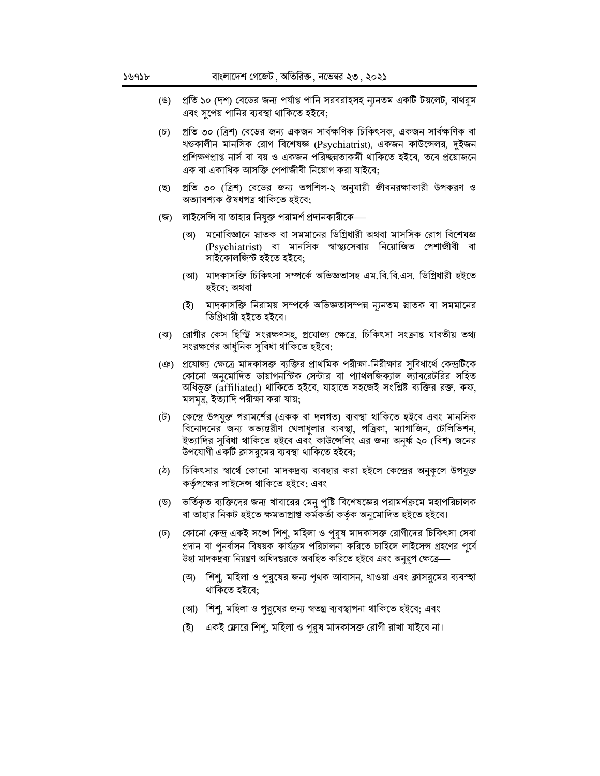- প্রতি ১০ (দশ) বেডের জন্য পর্যাপ্ত পানি সরবরাহসহ ন্যনতম একটি টয়লেট, বাথরুম (ঙ) এবং সুপেয় পানির ব্যবস্থা থাকিতে হইবে;
- প্রতি ৩০ (ত্রিশ) বেডের জন্য একজন সার্বক্ষণিক চিকিৎসক, একজন সার্বক্ষণিক বা  $(\mathfrak{d})$ খডকালীন মানসিক রোগ বিশেষজ্ঞ (Psychiatrist), একজন কাউন্সেলর, দুইজন প্রশিক্ষণপ্রাপ্ত নার্স বা বয় ও একজন পরিচ্ছন্নতাকর্মী থাকিতে হইবে, তবে প্রয়োজনে এক বা একাধিক আসক্তি পেশাজীবী নিয়োগ করা যাইবে;
- (ছ) প্রতি ৩০ (ত্রিশ) বেডের জন্য তপশিল-২ অনুযায়ী জীবনরক্ষাকারী উপকরণ ও অত্যাবশ্যক ঔষধপত্র থাকিতে হইবে;
- (জ) লাইসেন্সি বা তাহার নিযুক্ত পরামর্শ প্রদানকারীকে—
	- (অ) মনোবিজ্ঞানে স্নাতক বা সমমানের ডিগ্রিধারী অথবা মাসসিক রোগ বিশেষজ্ঞ (Psychiatrist) বা মানসিক স্বাস্থ্যসেবায় নিয়োজিত পেশাজীবী বা সাইকোলজিস্ট হইতে হইবে;
	- (আ) মাদকাসক্তি চিকিৎসা সম্পর্কে অভিজ্ঞতাসহ এম.বি.বি.এস. ডিগ্রিধারী হইতে হইবে: অথবা
	- (ই) মাদকাসক্তি নিরাময় সম্পর্কে অভিজ্ঞতাসম্পন্ন ন্যনতম স্নাতক বা সমমানের ডিগ্রিধারী হইতে হইবে।
- (ঝ) রোগীর কেস হিস্ট্রি সংরক্ষণসহ, প্রযোজ্য ক্ষেত্রে, চিকিৎসা সংক্রান্ত যাবতীয় তথ্য সংরক্ষণের আধুনিক সুবিধা থাকিতে হইবে;
- ঞে) প্রযোজ্য ক্ষেত্রে মাদকাসক্ত ব্যক্তির প্রাথমিক পরীক্ষা-নিরীক্ষার সুবিধার্থে কেন্দ্রটিকে কোনো অনুমোদিত ডায়াগনস্টিক সেন্টার বা প্যাথলজিক্যাল ল্যাবরেটরির সহিত অধিভুক্ত (affiliated) থাকিতে হইবে, যাহাতে সহজেই সংশ্লিষ্ট ব্যক্তির রক্ত, কফ, মলমূত্র, ইত্যাদি পরীক্ষা করা যায়;
- (ট) তেন্দ্রে উপযুক্ত পরামর্শের (একক বা দলগত) ব্যবস্থা থাকিতে হইবে এবং মানসিক বিনোদনের জন্য অভ্যন্তরীণ খেলাধুলার ব্যবস্থা, পত্রিকা, ম্যাগাজিন, টেলিভিশন, ইত্যাদির সুবিধা থাকিতে হইবে এবং কাউন্সেলিং এর জন্য অনূর্ধ্ব ২০ (বিশ) জনের উপযোগী একটি ক্লাসরুমের ব্যবস্থা থাকিতে হইবে;
- (ঠ) চিকিৎসার স্বার্থে কোনো মাদকদ্রব্য ব্যবহার করা হইলে কেন্দ্রের অনুকূলে উপযুক্ত কর্তৃপক্ষের লাইসেন্স থাকিতে হইবে; এবং
- (ড) ভর্তিকৃত ব্যক্তিদের জন্য খাবারের মেনু পুষ্টি বিশেষজ্ঞের পরামর্শক্রমে মহাপরিচালক বা তাহার নিকট হইতে ক্ষমতাপ্রাপ্ত কর্মকর্তা কর্তৃক অনুমোদিত হইতে হইবে।
- কোনো কেন্দ্র একই সঙ্গে শিশু, মহিলা ও পুরুষ মাদকাসক্ত রোগীদের চিকিৎসা সেবা  $(\overline{v})$ প্রদান বা পুনর্বাসন বিষয়ক কার্যক্রম পরিচালনা করিতে চাহিলে লাইসেন্স গ্রহণের পূর্বে উহা মাদকদ্রব্য নিয়ন্ত্রণ অধিদপ্তরকে অবহিত করিতে হইবে এবং অনুরূপ ক্ষেত্রে—
	- (অ) শিশু, মহিলা ও পুরুষের জন্য পৃথক আবাসন, খাওয়া এবং ক্লাসরুমের ব্যবস্হা থাকিতে হইবে;
	- (আ) শিশু, মহিলা ও পুরুষের জন্য স্বতন্ত্র ব্যবস্থাপনা থাকিতে হইবে; এবং
	- (ই) একই ফ্লোরে শিশু, মহিলা ও পুরুষ মাদকাসক্ত রোগী রাখা যাইবে না।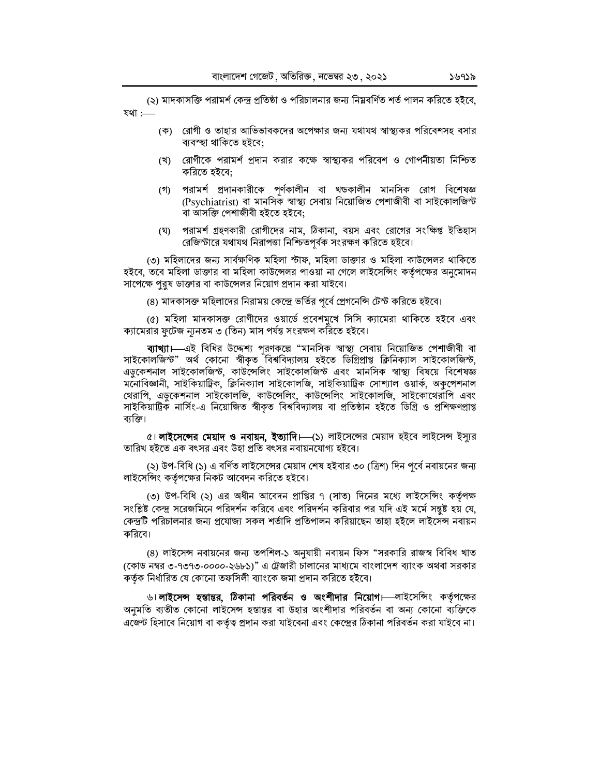(২) মাদকাসক্তি পরামর্শ কেন্দ্র প্রতিষ্ঠা ও পরিচালনার জন্য নিম্নবর্ণিত শর্ত পালন করিতে হইবে, যথা :-

- (ক) রোগী ও তাহার আভিভাবকদের অপেক্ষার জন্য যথাযথ স্বাস্থ্যকর পরিবেশসহ বসার ব্যবস্হা থাকিতে হইবে;
- (খ) রোগীকে পরামর্শ প্রদান করার কক্ষে স্বাস্থ্যকর পরিবেশ ও গোপনীয়তা নিশ্চিত করিতে হইবে;
- (গ) পরামর্শ প্রদানকারীকে পূর্ণকালীন বা খডকালীন মানসিক রোগ বিশেষজ্ঞ (Psychiatrist) বা মানসিক স্বাস্থ্য সেবায় নিয়োজিত পেশাজীবী বা সাইকোলজিন্ট বা আসক্তি পেশাজীবী হইতে হইবে;
- (ঘ) পরামর্শ গ্রহণকারী রোগীদের নাম, ঠিকানা, বয়স এবং রোগের সংক্ষিপ্ত ইতিহাস রেজিস্টারে যথাযথ নিরাপত্তা নিশ্চিতপূর্বক সংরক্ষণ করিতে হইবে।

(৩) মহিলাদের জন্য সার্বক্ষণিক মহিলা স্টাফ, মহিলা ডাক্তার ও মহিলা কাউন্সেলর থাকিতে হইবে, তবে মহিলা ডাক্তার বা মহিলা কাউন্সেলর পাওয়া না গেলে লাইসেন্সিং কর্তৃপক্ষের অনুমোদন সাপেক্ষে পুরুষ ডাক্তার বা কাউন্সেলর নিয়োগ প্রদান করা যাইবে।

(৪) মাদকাসক্ত মহিলাদের নিরাময় কেন্দ্রে ভর্তির পূর্বে প্রেগনেন্সি টেস্ট করিতে হইবে।

(৫) মহিলা মাদকাসক্ত রোগীদের ওয়ার্ডে প্রবেশমুখে সিসি ক্যামেরা থাকিতে হইবে এবং ক্যামেরার ফুটেজ ন্যূনতম ৩ (তিন) মাস পর্যন্ত সংরক্ষণ করিতে হইবে।

ব্যা**খ্যা।**—এই বিধির উদ্দেশ্য পূরণকল্পে "মানসিক স্বাস্থ্য সেবায় নিয়োজিত পেশাজীবী বা সাইকোলজিস্ট" অৰ্থ কোনো স্বীকৃত বিশ্ববিদ্যালয় হইতে ডিগ্ৰিপ্ৰাপ্ত ক্লিনিক্যাল সাইকোলজিস্ট, এডুকেশনাল সাইকোলজিস্ট, কাউন্সেলিং সাইকোলজিস্ট এবং মানসিক স্বাস্থ্য বিষয়ে বিশেষজ্ঞ মনোবিজ্ঞানী, সাইকিয়াট্রিক, ক্লিনিক্যাল সাইকোলজি, সাইকিয়াট্রিক সোশ্যাল ওয়ার্ক, অকুপেশনাল থেরাপি, এডুকেশনাল সাইকোলজি, কাউন্সেলিং, কাউন্সেলিং সাইকোলজি, সাইকোথেরাপি এবং সাইকিয়াট্রিক নার্সিং-এ নিয়োজিত স্বীকৃত বিশ্ববিদ্যালয় বা প্রতিষ্ঠান হইতে ডিগ্রি ও প্রশিক্ষণপ্রাপ্ত ব্যক্তি।

৫। **লাইসেন্সের মেয়াদ ও নবায়ন, ইত্যাদি।**—(১) লাইসেন্সের মেয়াদ হইবে লাইসেন্স ইস্যুর তারিখ হইতে এক বৎসর এবং উহা প্রতি বৎসর নবায়নযোগ্য হইবে।

(২) উপ-বিধি (১) এ বর্ণিত লাইসেন্সের মেয়াদ শেষ হইবার ৩০ (ত্রিশ) দিন পূর্বে নবায়নের জন্য লাইসেন্সিং কর্তৃপক্ষের নিকট আবেদন করিতে হইবে।

(৩) উপ-বিধি (২) এর অধীন আবেদন প্রাপ্তির ৭ (সাত) দিনের মধ্যে লাইসেন্সিং কর্তৃপক্ষ সংশ্লিষ্ট কেন্দ্র সরেজমিনে পরিদর্শন করিবে এবং পরিদর্শন করিবার পর যদি এই মর্মে সন্তুষ্ট হয় যে, কেন্দ্রটি পরিচালনার জন্য প্রযোজ্য সকল শর্তাদি প্রতিপালন করিয়াছেন তাহা হইলে লাইসেন্স নবায়ন করিবে।

(8) লাইসেন্স নবায়নের জন্য তপশিল-১ অনুযায়ী নবায়ন ফিস "সরকারি রাজস্ব বিবিধ খাত (কোড নম্বর ৩-৭৩৭৩-০০০০-২৬৮১)" এ ট্রেজারী চালানের মাধ্যমে বাংলাদেশ ব্যাংক অথবা সরকার কৰ্তৃক নিৰ্ধারিত যে কোনো তফসিলী ব্যাংকে জমা প্রদান করিতে হইবে।

৬। **লাইসেন্স হস্তান্তর, ঠিকানা পরিবর্তন ও অংশীদার নিয়োগ।**—লাইসেন্সিং কর্তৃপক্ষের অনুমতি ব্যতীত কোনো লাইসেন্স হস্তান্তর বা উহার অংশীদার পরিবর্তন বা অন্য কোনো ব্যক্তিকে এজেন্ট হিসাবে নিয়োগ বা কর্তৃত্ব প্রদান করা যাইবেনা এবং কেন্দ্রের ঠিকানা পরিবর্তন করা যাইবে না।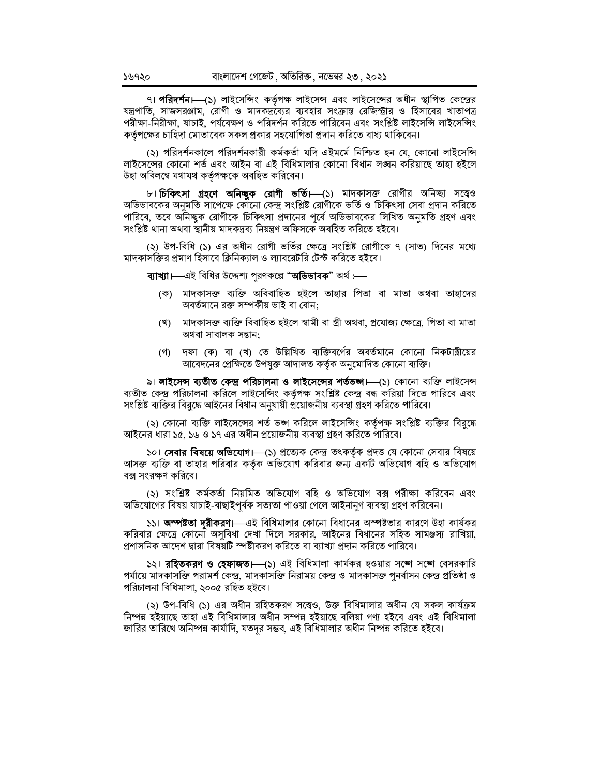৭। **পরিদর্শন।** (১) লাইসেন্সিং কর্তৃপক্ষ লাইসেন্স এবং লাইসেন্সের অধীন স্থাপিত কেন্দ্রের যন্ত্রপাতি, সাজসরঞ্জাম, রোগী ও মাদকদ্রব্যের ব্যবহার সংক্রান্ত রেজিস্ট্রার ও হিসাবের খাতাপত্র পরীক্ষা-নিরীক্ষা, যাচাই, পর্যবেক্ষণ ও পরিদর্শন করিতে পারিবেন এবং সংশ্লিষ্ট লাইসেন্সি লাইসেন্সিং কর্তৃপক্ষের চাহিদা মোতাবেক সকল প্রকার সহযোগিতা প্রদান করিতে বাধ্য থাকিবেন।

(২) পরিদর্শনকালে পরিদর্শনকারী কর্মকর্তা যদি এইমর্মে নিশ্চিত হন যে, কোনো লাইসেন্সি লাইসেন্সের কোনো শর্ত এবং আইন বা এই বিধিমালার কোনো বিধান লঙ্ঘন করিয়াছে তাহা হইলে উহা অবিলম্বে যথাযথ কৰ্তৃপক্ষকে অবহিত করিবেন।

৮। **চিকিৎসা গ্রহণে অনিচ্ছুক রোগী ভর্তি।** (১) মাদকাসক্ত রোগীর অনিচ্ছা সত্ত্বেও অভিভাবকের অনুমতি সাপেক্ষে কৌনো কেন্দ্র সংশ্লিষ্ট রোগীকে ভর্তি ও চিকিৎসা সেবা প্রদান করিতে পারিবে, তবে অনিচ্ছুক রোগীকে চিকিৎসা প্রদানের পূর্বে অভিভাবকের লিখিত অনুমতি গ্রহণ এবং সংশ্লিষ্ট থানা অথবা স্থানীয় মাদকদ্ৰব্য নিয়ন্ত্ৰণ অফিসকে অবহিত করিতে হইবে।

(২) উপ-বিধি (১) এর অধীন রোগী ভর্তির ক্ষেত্রে সংশ্লিষ্ট রোগীকে ৭ (সাত) দিনের মধ্যে মাদকাসক্তির প্রমাণ হিসাবে ক্লিনিক্যাল ও ল্যাবরেটরি টেস্ট করিতে হইবে।

ব্যাখ্যা।—এই বিধির উদ্দেশ্য পরণকল্পে "অভিভাবক" অর্থ :—

- (ক) মাদকাসক্ত ব্যক্তি অবিবাহিত হইলে তাহার পিতা বা মাতা অথবা তাহাদের অবর্তমানে রক্ত সম্পর্কীয় ভাই বা বোন:
- (খ) মাদকাসক্ত ব্যক্তি বিবাহিত হইলে স্বামী বা স্ত্ৰী অথবা, প্ৰযোজ্য ক্ষেত্ৰে, পিতা বা মাতা অথবা সাবালক সন্তান:
- (গ) দফা (ক) বা (খ) তে উল্লিখিত ব্যক্তিবর্গের অবর্তমানে কোনো নিকটাত্নীয়ের আবেদনের প্রেক্ষিতে উপযুক্ত আদালত কর্তৃক অনুমোদিত কোনো ব্যক্তি।

৯। লাইসেন্স ব্যতীত কেন্দ্র পরিচালনা ও লাইসেন্সের শর্তভঙ্গা—(১) কোনো ব্যক্তি লাইসেন্স ব্যতীত কেন্দ্র পরিচালনা করিলে লাইসেন্সিং কর্তৃপক্ষ সংশ্লিষ্ট কেন্দ্র বন্ধ করিয়া দিতে পারিবে এবং সংশ্লিষ্ট ব্যক্তির বিরদ্ধে আইনের বিধান অনযায়ী প্রয়োজনীয় ব্যবস্থা গ্রহণ করিতে পারিবে।

(২) কোনো ব্যক্তি লাইসেন্সের শর্ত ভঙ্গ করিলে লাইসেন্সিং কর্তৃপক্ষ সংশ্লিষ্ট ব্যক্তির বিরুদ্ধে আইনের ধারা ১৫. ১৬ ও ১৭ এর অধীন প্রয়োজনীয় ব্যবস্থা গ্রহণ করিতে পারিবে।

১০। **সেবার বিষয়ে অভিযোগ।**—(১) প্রত্যেক কেন্দ্র তৎকর্তৃক প্রদত্ত যে কোনো সেবার বিষয়ে আসক্ত ব্যক্তি বা তাহার পরিবার কর্তৃক অভিযোগ করিবার জন্য একটি অভিযোগ বহি ও অভিযোগ বক্স সংরক্ষণ করিবে।

(২) সংশ্লিষ্ট কর্মকর্তা নিয়মিত অভিযোগ বহি ও অভিযোগ বক্স পরীক্ষা করিবেন এবং অভিযোগের বিষয় যাচাই-বাছাইপূর্বক সত্যতা পাওয়া গেলে আইনানুগ ব্যবস্থা গ্রহণ করিবেন।

১১। অম্পষ্টতা দরীকরণ। এই বিধিমালার কোনো বিধানের অম্পষ্টতার কারণে উহা কার্যকর করিবার ক্ষেত্রে কোনো অসবিধা দেখা দিলে সরকার, আইনের বিধানের সহিত সামঞ্জস্য রাখিয়া, প্রশাসনিক আদেশ দ্বারা বিষয়টি স্পষ্টীকরণ করিতে বা ব্যাখ্যা প্রদান করিতে পারিবে।

১২। **রহিতকরণ ও হেফাজত।**—(১) এই বিধিমালা কার্যকর হওয়ার সঙ্গে সঙ্গে বেসরকারি পর্যায়ে মাদকাসক্তি পরামর্শ কেন্দ্র, মাদকাসক্তি নিরাময় কেন্দ্র ও মাদকাসক্ত পুনর্বাসন কেন্দ্র প্রতিষ্ঠা ও পরিচালনা বিধিমালা, ২০০৫ রহিত হইবে।

(২) উপ-বিধি (১) এর অধীন রহিতকরণ সত্ত্বেও, উক্ত বিধিমালার অধীন যে সকল কার্যক্রম নিষ্পন হইয়াছে তাহা এই বিধিমালার অধীন সম্পন্ন হইয়াছে বলিয়া গণ্য হইবে এবং এই বিধিমালা জারির তারিখে অনিষ্পন্ন কার্যাদি. যতদর সম্ভব, এই বিধিমালার অধীন নিষ্পন্ন করিতে হইবে।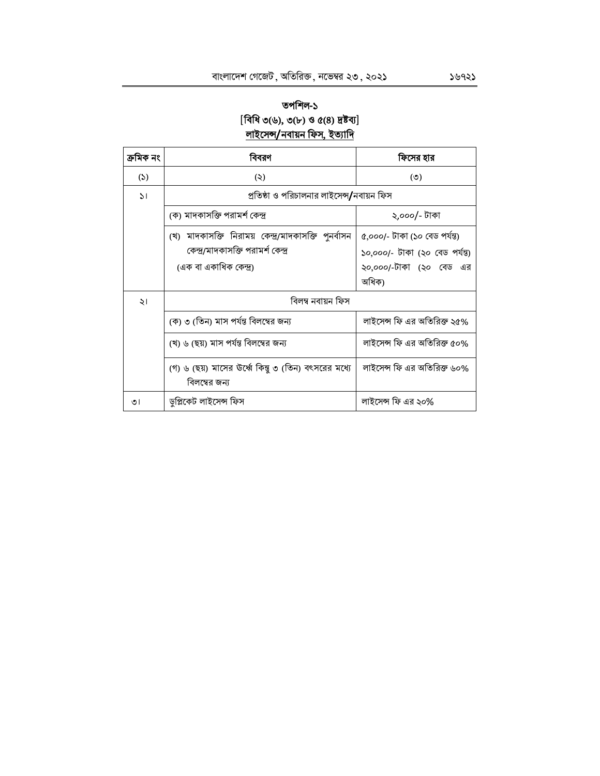# তপশিল-১  $[$ বিধি ৩(৬), ৩(৮) ও ৫(৪) দ্রষ্টব্য] <u>লাইসেন্স/নবায়ন ফিস, ইত্যাদি</u>

| ক্ৰমিক নং    | বিবরণ                                                                                                               | ফিসের হার                                                                                           |  |
|--------------|---------------------------------------------------------------------------------------------------------------------|-----------------------------------------------------------------------------------------------------|--|
| (5)          | (5)                                                                                                                 | $($ ° $)$                                                                                           |  |
| $\mathsf{S}$ | প্রতিষ্ঠা ও পরিচালনার লাইসেন্স/নবায়ন ফিস                                                                           |                                                                                                     |  |
|              | (ক) মাদকাসক্তি পরামর্শ কেন্দ্র                                                                                      | ২,০০০/- টাকা                                                                                        |  |
|              | (খ) মাদকাসক্তি নিরাময় কেন্দ্র/মাদকাসক্তি পুনর্বাসন<br>কেন্দ্র/মাদকাসক্তি পরামর্শ কেন্দ্র<br>(এক বা একাধিক কেন্দ্র) | ৫,০০০/- টাকা (১০ বেড পৰ্যন্ত)<br>১০,০০০/- টাকা (২০ বেড পৰ্যন্ত)<br>২০,০০০/-টাকা (২০ বেড এর<br>অধিক) |  |
| ২।           | বিলম্ব নবায়ন ফিস                                                                                                   |                                                                                                     |  |
|              | (ক) ৩ (তিন) মাস পর্যন্ত বিলম্বের জন্য                                                                               | লাইসেন্স ফি এর অতিরিক্ত ২৫%                                                                         |  |
|              | (খ) ৬ (ছয়) মাস পর্যন্ত বিলম্বের জন্য                                                                               | লাইসেন্স ফি এর অতিরিক্ত ৫০%                                                                         |  |
|              | (গ) ৬ (ছয়) মাসের উর্ধ্বে কিন্তু ৩ (তিন) বৎসরের মধ্যে<br>বিলম্বের জন্য                                              | লাইসেন্স ফি এর অতিরিক্ত ৬০%                                                                         |  |
| ৩।           | ডুপ্লিকেট লাইসেন্স ফিস                                                                                              | লাইসেন্স ফি এর ২০%                                                                                  |  |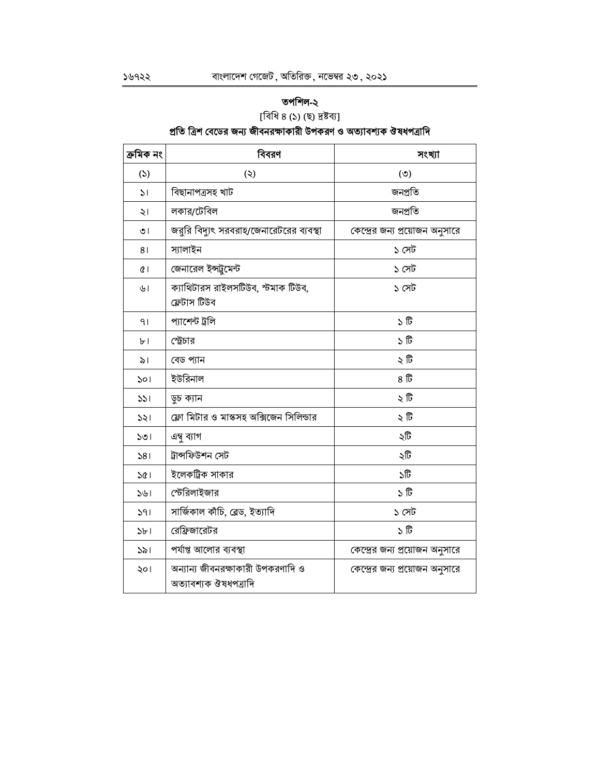# তপশিল-২

[বিধি ৪ (১) (ছ) দ্ৰষ্টব্য]

# প্রতি ত্রিশ বেডের জন্য জীবনরক্ষাকারী উপকরণ ও অত্যাবশ্যক ঔষধপত্রাদি

| ক্ৰমিক নং      | বিবরণ                                                      | সংখ্যা                          |
|----------------|------------------------------------------------------------|---------------------------------|
| (5)            | (5)                                                        | (5)                             |
| $\mathcal{L}$  | বিছানাপত্ৰসহ খাট                                           | জনপ্ৰতি                         |
| ২।             | লকার/টেবিল                                                 | জনপ্ৰতি                         |
| ৩।             | জরুরি বিদ্যুৎ সরবরাহ/জেনারেটরের ব্যবস্থা                   | কেন্দ্রের জন্য প্রয়োজন অনুসারে |
| 81             | স্যালাইন                                                   | ১ সেট                           |
| $\alpha$       | জেনারেল ইন্সট্রুমেন্ট                                      | ১ সেট                           |
| ৬।             | ক্যাথিটারস রাইলসটিউব, স্টমাক টিউব,<br>ফ্লেটাস টিউব         | ১ সেট                           |
| 91             | প্যাশেন্ট ট্ৰলি                                            | ১টি                             |
| b <sub>1</sub> | স্ট্রেচার                                                  | ১টি                             |
| ৯।             | বেড প্যান                                                  | ২টি                             |
| ১০।            | ইউরিনাল                                                    | ৪ টি                            |
| 331            | ডুচ ক্যান                                                  | ২টি                             |
| 331            | ফ্লো মিটার ও মাস্কসহ অক্সিজেন সিলিন্ডার                    | ২ টি                            |
| 501            | এম্ব ব্যাগ                                                 | ২টি                             |
| 581            | ট্ৰান্সফিউশন সেট                                           | ২টি                             |
| ১৫।            | ইলেকট্রিক সাকার                                            | ১টি                             |
| 541            | স্টেরিলাইজার                                               | ১টি                             |
| 391            | সার্জিকাল কাঁচি, ব্লেড, ইত্যাদি                            | ১ সেট                           |
| 5b1            | রেফ্রিজারেটর                                               | ১টি                             |
| 321            | পর্যাপ্ত আলোর ব্যবস্থা                                     | কেন্দ্রের জন্য প্রয়োজন অনুসারে |
| ২০।            | অন্যান্য জীবনরক্ষাকারী উপকরণাদি ও<br>অত্যাবশ্যক ঔষধপত্রাদি | কেন্দ্রের জন্য প্রয়োজন অনুসারে |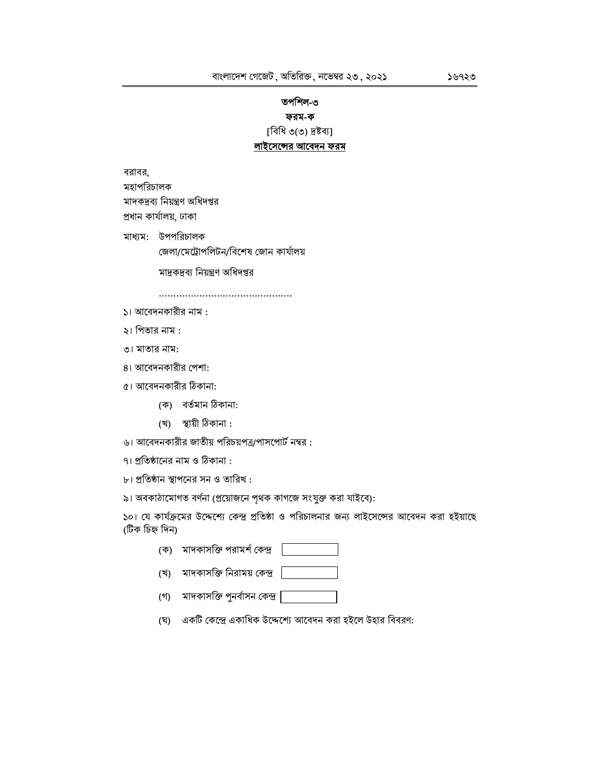## তপশিল-৩ ফরম-ক

[বিধি ৩(৩) দ্ৰষ্টব্য]

#### লাইসেন্সের আবেদন ফরম

বরাবর, মহাপরিচালক মাদকদ্রব্য নিয়ন্ত্রণ অধিদপ্তর প্ৰধান কাৰ্যালয়, ঢাকা

মাধ্যম: উপপরিচালক জেলা/মেট্রোপলিটন/বিশেষ জোন কার্যালয়

মাদ্রকদ্রব্য নিয়ন্ত্রণ অধিদপ্তর

- ১। আবেদনকারীর নাম :
- ২। পিতার নাম :
- ৩। মাতার নাম:
- ৪। আবেদনকারীর পেশা:
- ৫। আবেদনকারীর ঠিকানা:
	- (ক) বৰ্তমান ঠিকানা:
	- (খ) স্থায়ী ঠিকানা:
- ৬। আবেদনকারীর জাতীয় পরিচয়পত্র/পাসপোর্ট নম্বর:
- ৭। প্রতিষ্ঠানের নাম ও ঠিকানা :
- ৮। প্রতিষ্ঠান স্থাপনের সন ও তারিখ :
- ৯। অবকাঠামোগত বর্ণনা (প্রয়োজনে পৃথক কাগজে সংযুক্ত করা যাইবে):

১০। যে কার্যক্রমের উদ্দেশ্যে কেন্দ্র প্রতিষ্ঠা ও পরিচালনার জন্য লাইসেন্সের আবেদন করা হইয়াছে (টিক চিহ্ন দিন)

- (ক) মাদকাসক্তি পরামর্শ কেন্দ্র
- (খ) মাদকাসক্তি নিরাময় কেন্দ্র
- (গ) মাদকাসক্তি পুনর্বাসন কেন্দ্র |
- (ঘ) একটি কেন্দ্রে একাধিক উদ্দেশ্যে আবেদন করা হইলে উহার বিবরণ: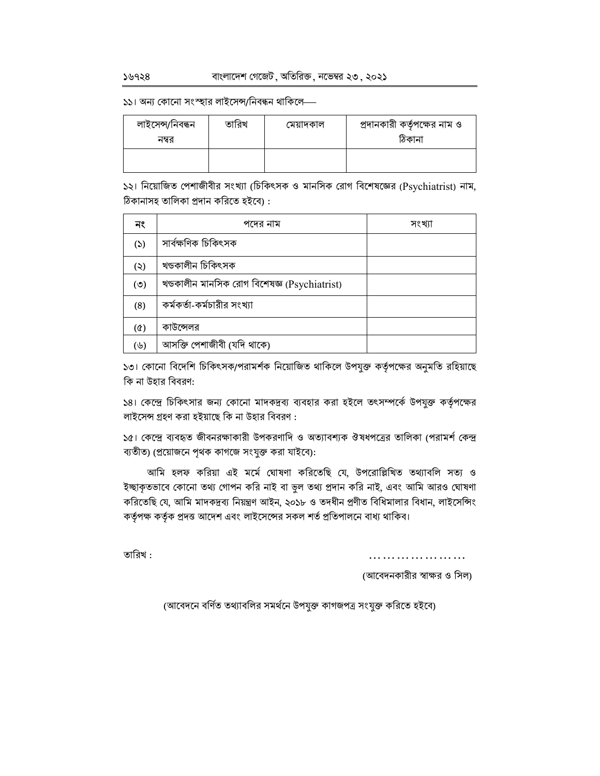১১। অন্য কোনো সংস্হার লাইসেন্স/নিবন্ধন থাকিলে—

| লাইসেন্স/নিবন্ধন<br>নম্বর | তারিখ | মেয়াদকাল | প্রদানকারী কর্তৃপক্ষের নাম ও<br>ঠিকানা |
|---------------------------|-------|-----------|----------------------------------------|
|                           |       |           |                                        |

১২। নিয়োজিত পেশাজীবীর সংখ্যা (চিকিৎসক ও মানসিক রোগ বিশেষজ্ঞের (Psychiatrist) নাম, ঠিকানাসহ তালিকা প্ৰদান করিতে হইবে) :

| নং         | পদের নাম                                     | সংখ্যা |
|------------|----------------------------------------------|--------|
| (5)        | সার্বক্ষণিক চিকিৎসক                          |        |
| (5)        | খণ্ডকালীন চিকিৎসক                            |        |
| (5)        | খণ্ডকালীন মানসিক রোগ বিশেষজ্ঞ (Psychiatrist) |        |
| (8)        | কর্মকর্তা-কর্মচারীর সংখ্যা                   |        |
| $(\delta)$ | কাউন্সেলর                                    |        |
| (৬)        | আসক্তি পেশাজীবী (যদি থাকে)                   |        |

১৩। কোনো বিদেশি চিকিৎসক/পরামর্শক নিয়োজিত থাকিলে উপযুক্ত কর্তৃপক্ষের অনুমতি রহিয়াছে কি না উহার বিবরণ:

১৪। কেন্দ্রে চিকিৎসার জন্য কোনো মাদকদ্রব্য ব্যবহার করা হইলে তৎসম্পর্কে উপযুক্ত কর্তৃপক্ষের লাইসেন্স গ্রহণ করা হইয়াছে কি না উহার বিবরণ :

১৫। কেন্দ্রে ব্যবহৃত জীবনরক্ষাকারী উপকরণাদি ও অত্যাবশ্যক ঔষধপত্রের তালিকা (পরামর্শ কেন্দ্র ব্যতীত) (প্রয়োজনে পৃথক কাগজে সংযুক্ত করা যাইবে):

আমি হলফ করিয়া এই মর্মে ঘোষণা করিতেছি যে, উপরোল্লিখিত তথ্যাবলি সত্য ও ইচ্ছাকৃতভাবে কোনো তথ্য গোপন করি নাই বা ভুল তথ্য প্রদান করি নাই, এবং আমি আরও ঘোষণা করিতেছি যে, আমি মাদকদ্রব্য নিয়ন্ত্রণ আইন, ২০১৮ ও তদধীন প্রণীত বিধিমালার বিধান, লাইসেন্সিং কর্তৃপক্ষ কর্তৃক প্রদত্ত আদেশ এবং লাইসেন্সের সকল শর্ত প্রতিপালনে বাধ্য থাকিব।

তারিখ :

. . . . . . . . . . . . . . . . . . . .

(আবেদনকারীর স্বাক্ষর ও সিল)

(আবেদনে বৰ্ণিত তথ্যাবলির সমর্থনে উপযুক্ত কাগজপত্র সংযুক্ত করিতে হইবে)

 $5.5928$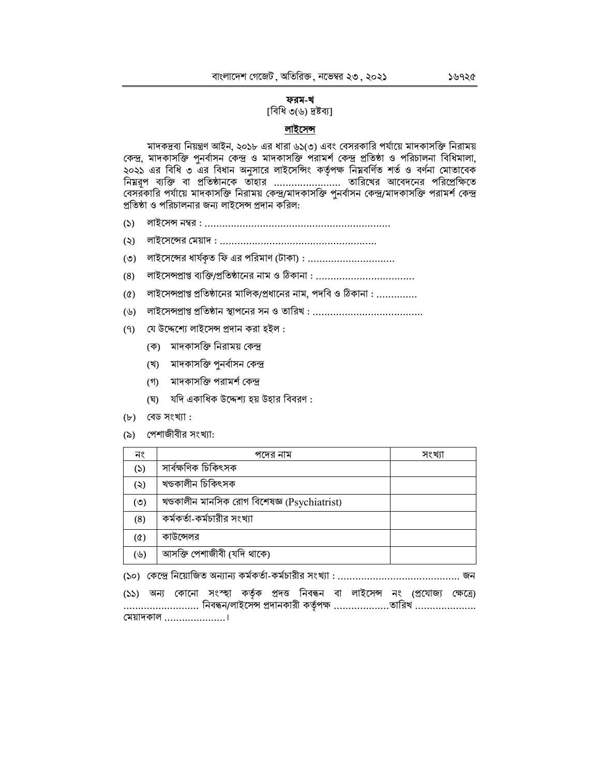#### ফরম-খ

[বিধি ৩(৬) দ্রষ্টব্য]

### লাইসেন্স

মাদকদ্রব্য নিয়ন্ত্রণ আইন, ২০১৮ এর ধারা ৬১(৩) এবং বেসরকারি পর্যায়ে মাদকাসক্তি নিরাময় কেন্দ্র, মাদকাসক্তি পুনর্বাসন কেন্দ্র ও মাদকাসক্তি পরামর্শ কেন্দ্র প্রতিষ্ঠা ও পরিচালনা বিধিমালা, ২০২১ এর বিধি ৩ এর বিধান অনুসারে লাইসেন্সিং কর্তৃপক্ষ নিম্নবর্ণিত শর্ত ও বর্ণনা মোতাবেক বেসরঁকারি পর্যায়ে মাদকাসক্তি নিরাময় কেন্দ্র/মাদকাসক্তি পুনর্বাসন কেন্দ্র/মাদকাসক্তি পরামর্শ কেন্দ্র প্রতিষ্ঠা ও পরিচালনার জন্য লাইসেন্স প্রদান করিল:

- $(5)$
- $(5)$
- $(0)$  লাইসেন্সের ধার্যকৃত ফি এর পরিমাণ (টাকা) : ................................
- $(8)$
- লাইসেন্সপ্রাপ্ত প্রতিষ্ঠানের মালিক/প্রধানের নাম, পদবি ও ঠিকানা : ..............  $(\mathcal{Q})$
- 
- (৭) যে উদ্দেশ্যে লাইসেন্স প্রদান করা হইল:
	- (ক) মাদকাসক্তি নিরাময় কেন্দ্র
	- (খ) মাদকাসক্তি পনর্বাসন কেন্দ্র
	- (গ) মাদকাসক্তি পরামর্শ কেন্দ্র
	- (ঘ) যদি একাধিক উদ্দেশ্য হয় উহার বিবরণ:
- $(b)$  বেড সংখ্যা:
- (৯) পেশাজীবীর সংখ্যা:

| নং         | পদের নাম                                     | সংখ্যা |
|------------|----------------------------------------------|--------|
| (5)        | সাৰ্বক্ষণিক চিকিৎসক                          |        |
| (5)        | খণ্ডকালীন চিকিৎসক                            |        |
| (৩)        | খণ্ডকালীন মানসিক রোগ বিশেষজ্ঞ (Psychiatrist) |        |
| (8)        | কর্মকর্তা-কর্মচারীর সংখ্যা                   |        |
| $(\delta)$ | কাউন্সেলর                                    |        |
| (৬)        | আসক্তি পেশাজীবী (যদি থাকে)                   |        |

(১১) অন্য কোনো সংস্হা কর্তৃক প্রদত্ত নিবন্ধন বা লাইসেন্স নং (প্রযোজ্য ক্ষেত্রে) .......................... নিবন্ধন/লাইসেন্স প্রদানকারী কর্তৃপক্ষ ..................তারিখ ..................... (ময়াদকাল ......................।